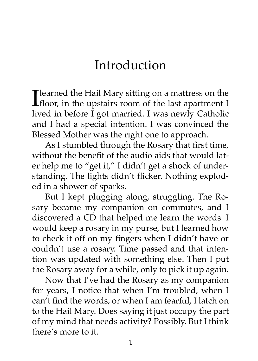## Introduction

**T** learned the Hail Mary sitting on a mattress on the  $\blacksquare$  floor, in the upstairs room of the last apartment I lived in before I got married. I was newly Catholic and I had a special intention. I was convinced the Blessed Mother was the right one to approach.

As I stumbled through the Rosary that first time, without the benefit of the audio aids that would later help me to "get it," I didn't get a shock of understanding. The lights didn't flicker. Nothing exploded in a shower of sparks.

But I kept plugging along, struggling. The Rosary became my companion on commutes, and I discovered a CD that helped me learn the words. I would keep a rosary in my purse, but I learned how to check it off on my fingers when I didn't have or couldn't use a rosary. Time passed and that intention was updated with something else. Then I put the Rosary away for a while, only to pick it up again.

Now that I've had the Rosary as my companion for years, I notice that when I'm troubled, when I can't find the words, or when I am fearful, I latch on to the Hail Mary. Does saying it just occupy the part of my mind that needs activity? Possibly. But I think there's more to it.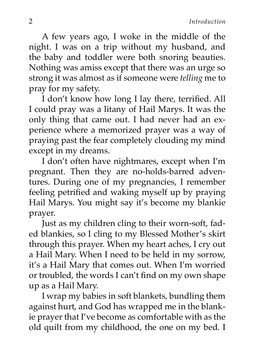A few years ago, I woke in the middle of the night. I was on a trip without my husband, and the baby and toddler were both snoring beauties. Nothing was amiss except that there was an urge so strong it was almost as if someone were *telling* me to pray for my safety.

I don't know how long I lay there, terrified. All I could pray was a litany of Hail Marys. It was the only thing that came out. I had never had an experience where a memorized prayer was a way of praying past the fear completely clouding my mind except in my dreams.

I don't often have nightmares, except when I'm pregnant. Then they are no-holds-barred adventures. During one of my pregnancies, I remember feeling petrified and waking myself up by praying Hail Marys. You might say it's become my blankie prayer.

Just as my children cling to their worn-soft, faded blankies, so I cling to my Blessed Mother's skirt through this prayer. When my heart aches, I cry out a Hail Mary. When I need to be held in my sorrow, it's a Hail Mary that comes out. When I'm worried or troubled, the words I can't find on my own shape up as a Hail Mary.

I wrap my babies in soft blankets, bundling them against hurt, and God has wrapped me in the blankie prayer that I've become as comfortable with as the old quilt from my childhood, the one on my bed. I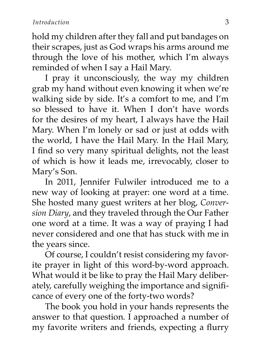hold my children after they fall and put bandages on their scrapes, just as God wraps his arms around me through the love of his mother, which I'm always reminded of when I say a Hail Mary.

I pray it unconsciously, the way my children grab my hand without even knowing it when we're walking side by side. It's a comfort to me, and I'm so blessed to have it. When I don't have words for the desires of my heart, I always have the Hail Mary. When I'm lonely or sad or just at odds with the world, I have the Hail Mary. In the Hail Mary, I find so very many spiritual delights, not the least of which is how it leads me, irrevocably, closer to Mary's Son.

In 2011, Jennifer Fulwiler introduced me to a new way of looking at prayer: one word at a time. She hosted many guest writers at her blog, *Conversion Diary*, and they traveled through the Our Father one word at a time. It was a way of praying I had never considered and one that has stuck with me in the years since.

Of course, I couldn't resist considering my favorite prayer in light of this word-by-word approach. What would it be like to pray the Hail Mary deliberately, carefully weighing the importance and significance of every one of the forty-two words?

The book you hold in your hands represents the answer to that question. I approached a number of my favorite writers and friends, expecting a flurry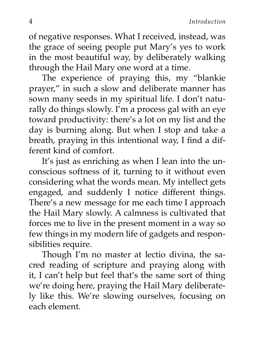of negative responses. What I received, instead, was the grace of seeing people put Mary's yes to work in the most beautiful way, by deliberately walking through the Hail Mary one word at a time.

The experience of praying this, my "blankie prayer," in such a slow and deliberate manner has sown many seeds in my spiritual life. I don't naturally do things slowly. I'm a process gal with an eye toward productivity: there's a lot on my list and the day is burning along. But when I stop and take a breath, praying in this intentional way, I find a different kind of comfort.

It's just as enriching as when I lean into the unconscious softness of it, turning to it without even considering what the words mean. My intellect gets engaged, and suddenly I notice different things. There's a new message for me each time I approach the Hail Mary slowly. A calmness is cultivated that forces me to live in the present moment in a way so few things in my modern life of gadgets and responsibilities require.

Though I'm no master at lectio divina, the sacred reading of scripture and praying along with it, I can't help but feel that's the same sort of thing we're doing here, praying the Hail Mary deliberately like this. We're slowing ourselves, focusing on each element.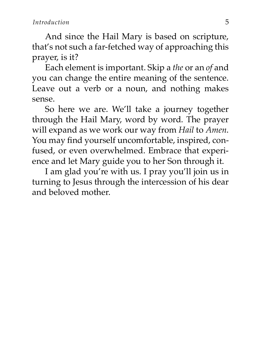And since the Hail Mary is based on scripture, that's not such a far-fetched way of approaching this prayer, is it?

Each element is important. Skip a *the* or an *of* and you can change the entire meaning of the sentence. Leave out a verb or a noun, and nothing makes sense.

So here we are. We'll take a journey together through the Hail Mary, word by word. The prayer will expand as we work our way from *Hail* to *Amen*. You may find yourself uncomfortable, inspired, confused, or even overwhelmed. Embrace that experience and let Mary guide you to her Son through it.

I am glad you're with us. I pray you'll join us in turning to Jesus through the intercession of his dear and beloved mother.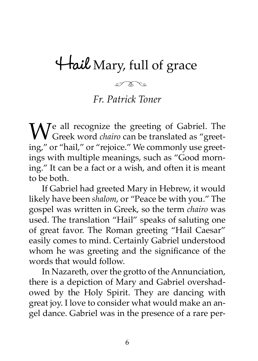# **Hail** Mary, full of grace

 $200000$ 

#### *Fr. Patrick Toner*

We all recognize the greeting of Gabriel. The Greek word *chairo* can be translated as "greet-<br>ine " or "beil " or "reisias " We serve rely use greeting," or "hail," or "rejoice." We commonly use greetings with multiple meanings, such as "Good morning." It can be a fact or a wish, and often it is meant to be both.

If Gabriel had greeted Mary in Hebrew, it would likely have been *shalom*, or "Peace be with you." The gospel was written in Greek, so the term *chairo* was used. The translation "Hail" speaks of saluting one of great favor. The Roman greeting "Hail Caesar" easily comes to mind. Certainly Gabriel understood whom he was greeting and the significance of the words that would follow.

In Nazareth, over the grotto of the Annunciation, there is a depiction of Mary and Gabriel overshadowed by the Holy Spirit. They are dancing with great joy. I love to consider what would make an angel dance. Gabriel was in the presence of a rare per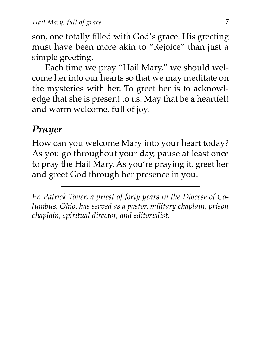son, one totally filled with God's grace. His greeting must have been more akin to "Rejoice" than just a simple greeting.

Each time we pray "Hail Mary," we should welcome her into our hearts so that we may meditate on the mysteries with her. To greet her is to acknowledge that she is present to us. May that be a heartfelt and warm welcome, full of joy.

#### *Prayer*

How can you welcome Mary into your heart today? As you go throughout your day, pause at least once to pray the Hail Mary. As you're praying it, greet her and greet God through her presence in you.

*Fr. Patrick Toner, a priest of forty years in the Diocese of Columbus, Ohio, has served as a pastor, military chaplain, prison chaplain, spiritual director, and editorialist.*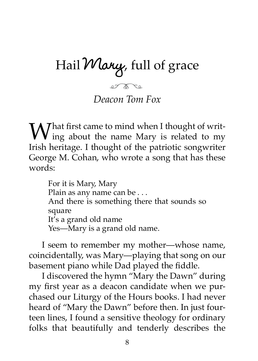# Hail **Mary**, full of grace

et once *Deacon Tom Fox*

 $W_{\text{in} \alpha}$  shout the same  $V$  in  $\alpha$  $\boldsymbol{V}$  ing about the name Mary is related to my Irish heritage. I thought of the patriotic songwriter George M. Cohan, who wrote a song that has these words:

For it is Mary, Mary Plain as any name can be . . . And there is something there that sounds so square It's a grand old name Yes—Mary is a grand old name.

I seem to remember my mother—whose name, coincidentally, was Mary—playing that song on our basement piano while Dad played the fiddle.

I discovered the hymn "Mary the Dawn" during my first year as a deacon candidate when we purchased our Liturgy of the Hours books. I had never heard of "Mary the Dawn" before then. In just fourteen lines, I found a sensitive theology for ordinary folks that beautifully and tenderly describes the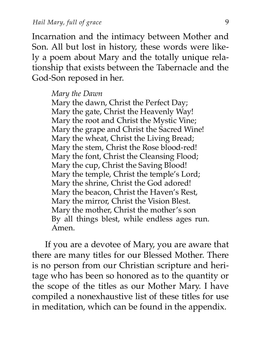Incarnation and the intimacy between Mother and Son. All but lost in history, these words were likely a poem about Mary and the totally unique relationship that exists between the Tabernacle and the God-Son reposed in her.

#### *Mary the Dawn*

Mary the dawn, Christ the Perfect Day; Mary the gate, Christ the Heavenly Way! Mary the root and Christ the Mystic Vine; Mary the grape and Christ the Sacred Wine! Mary the wheat, Christ the Living Bread; Mary the stem, Christ the Rose blood-red! Mary the font, Christ the Cleansing Flood; Mary the cup, Christ the Saving Blood! Mary the temple, Christ the temple's Lord; Mary the shrine, Christ the God adored! Mary the beacon, Christ the Haven's Rest, Mary the mirror, Christ the Vision Blest. Mary the mother, Christ the mother's son By all things blest, while endless ages run. Amen.

If you are a devotee of Mary, you are aware that there are many titles for our Blessed Mother. There is no person from our Christian scripture and heritage who has been so honored as to the quantity or the scope of the titles as our Mother Mary. I have compiled a nonexhaustive list of these titles for use in meditation, which can be found in the appendix.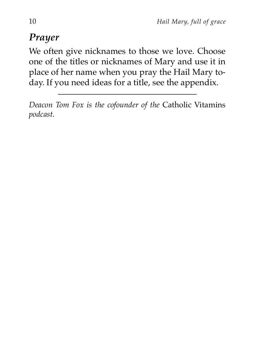## *Prayer*

We often give nicknames to those we love. Choose one of the titles or nicknames of Mary and use it in place of her name when you pray the Hail Mary today. If you need ideas for a title, see the appendix.

*Deacon Tom Fox is the cofounder of the* Catholic Vitamins *podcast.*